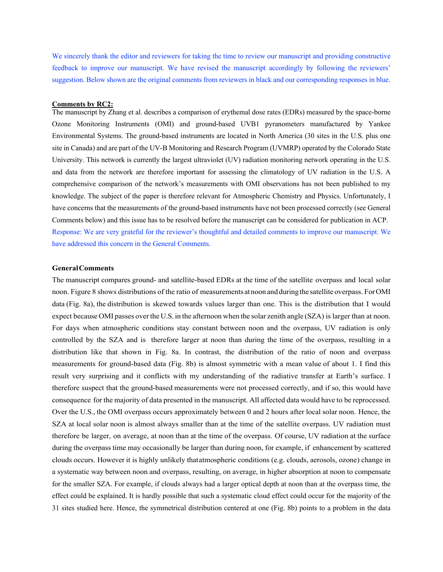We sincerely thank the editor and reviewers for taking the time to review our manuscript and providing constructive feedback to improve our manuscript. We have revised the manuscript accordingly by following the reviewers' suggestion. Below shown are the original comments from reviewers in black and our corresponding responses in blue.

# **Comments by RC2:**

The manuscript by Zhang et al. describes a comparison of erythemal dose rates (EDRs) measured by the space-borne Ozone Monitoring Instruments (OMI) and ground-based UVB1 pyranometers manufactured by Yankee Environmental Systems. The ground-based instruments are located in North America (30 sites in the U.S. plus one site in Canada) and are part of the UV-B Monitoring and Research Program (UVMRP) operated by the Colorado State University. This network is currently the largest ultraviolet (UV) radiation monitoring network operating in the U.S. and data from the network are therefore important for assessing the climatology of UV radiation in the U.S. A comprehensive comparison of the network's measurements with OMI observations has not been published to my knowledge. The subject of the paper is therefore relevant for Atmospheric Chemistry and Physics. Unfortunately, I have concerns that the measurements of the ground-based instruments have not been processed correctly (see General Comments below) and this issue has to be resolved before the manuscript can be considered for publication in ACP. Response: We are very grateful for the reviewer's thoughtful and detailed comments to improve our manuscript. We have addressed this concern in the General Comments.

# **GeneralComments**

The manuscript compares ground- and satellite-based EDRs at the time of the satellite overpass and local solar noon. Figure 8 shows distributions of the ratio of measurements atnoonandduringthe satelliteoverpass. ForOMI data (Fig. 8a), the distribution is skewed towards values larger than one. This is the distribution that I would expect because OMI passes overthe U.S. in the afternoon when the solar zenith angle (SZA) is larger than at noon. For days when atmospheric conditions stay constant between noon and the overpass, UV radiation is only controlled by the SZA and is therefore larger at noon than during the time of the overpass, resulting in a distribution like that shown in Fig. 8a. In contrast, the distribution of the ratio of noon and overpass measurements for ground-based data (Fig. 8b) is almost symmetric with a mean value of about 1. I find this result very surprising and it conflicts with my understanding of the radiative transfer at Earth's surface. I therefore suspect that the ground-based measurements were not processed correctly, and if so, this would have consequence for the majority of data presented in the manuscript. All affected data would have to be reprocessed. Over the U.S., the OMI overpass occurs approximately between 0 and 2 hours after local solar noon. Hence, the SZA at local solar noon is almost always smaller than at the time of the satellite overpass. UV radiation must therefore be larger, on average, at noon than at the time of the overpass. Of course, UV radiation at the surface during the overpass time may occasionally be larger than during noon, for example, if enhancement by scattered clouds occurs. However it is highly unlikely thatatmospheric conditions (e.g. clouds, aerosols, ozone) change in a systematic way between noon and overpass, resulting, on average, in higher absorption at noon to compensate for the smaller SZA. For example, if clouds always had a larger optical depth at noon than at the overpass time, the effect could be explained. It is hardly possible that such a systematic cloud effect could occur for the majority of the 31 sites studied here. Hence, the symmetrical distribution centered at one (Fig. 8b) points to a problem in the data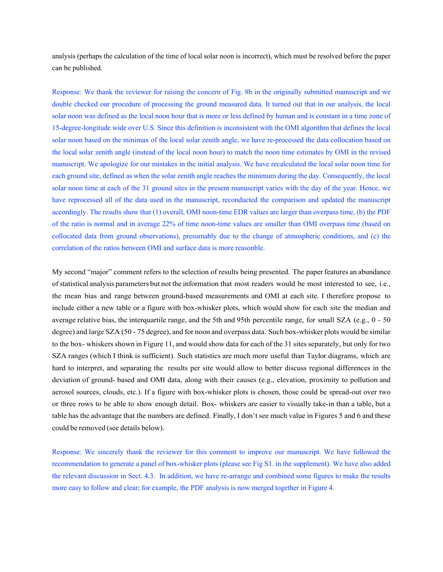analysis (perhaps the calculation of the time of local solar noon is incorrect), which must be resolved before the paper can be published.

Response: We thank the reviewer for raising the concern of Fig. 8b in the originally submitted manuscript and we double checked our procedure of processing the ground measured data. It turned out that in our analysis, the local solar noon was defined as the local noon hour that is more or less defined by human and is constant in a time zone of 15-degree-longitude wide over U.S. Since this definition is inconsistent with the OMI algorithm that defines the local solar noon based on the minimax of the local solar zenith angle, we have re-processed the data collocation based on the local solar zenith angle (instead of the local noon hour) to match the noon time estimates by OMI in the revised manuscript. We apologize for our mistakes in the initial analysis. We have recalculated the local solar noon time for each ground site, defined as when the solar zenith angle reaches the minimum during the day. Consequently, the local solar noon time at each of the 31 ground sites in the present manuscript varies with the day of the year. Hence, we have reprocessed all of the data used in the manuscript, reconducted the comparison and updated the manuscript accordingly. The results show that (1) overall, OMI noon-time EDR values are larger than overpass time, (b) the PDF of the ratio is normal and in average 22% of time noon-time values are smaller than OMI overpass time (based on collocated data from ground observations), presumably due to the change of atmospheric conditions, and (c) the correlation of the ratios between OMI and surface data is more reasonble.

My second "major" comment refers to the selection of results being presented. The paper features an abundance ofstatistical analysis parameters but not the information that most readers would be most interested to see, i.e., the mean bias and range between ground-based measurements and OMI at each site. I therefore propose to include either a new table or a figure with box-whisker plots, which would show for each site the median and average relative bias, the interquartile range, and the 5th and 95th percentile range, for small SZA (e.g., 0 - 50 degree) and large SZA (50 - 75 degree), and for noon and overpass data. Such box-whisker plots would be similar to the box- whiskers shown in Figure 11, and would show data for each of the 31 sites separately, but only for two SZA ranges (which I think is sufficient). Such statistics are much more useful than Taylor diagrams, which are hard to interpret, and separating the results per site would allow to better discuss regional differences in the deviation of ground- based and OMI data, along with their causes (e.g., elevation, proximity to pollution and aerosol sources, clouds, etc.). If a figure with box-whisker plots is chosen, those could be spread-out over two or three rows to be able to show enough detail. Box- whiskers are easier to visually take-in than a table, but a table has the advantage that the numbers are defined. Finally, I don't see much value in Figures 5 and 6 and these could be removed (see details below).

Response: We sincerely thank the reviewer for this comment to improve our manuscript. We have followed the recommendation to generate a panel of box-whisker plots (please see Fig S1. in the supplement). We have also added the relevant discussion in Sect. 4.3. In addition, we have re-arrange and combined some figures to make the results more easy to follow and clear; for example, the PDF analysis is now merged together in Figure 4.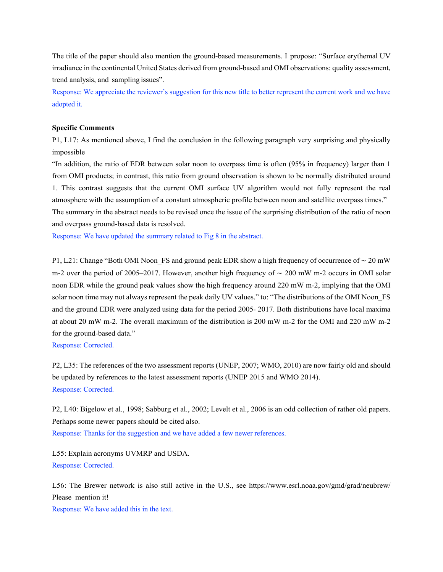The title of the paper should also mention the ground-based measurements. I propose: "Surface erythemal UV irradiance in the continental United States derived from ground-based and OMI observations: quality assessment, trend analysis, and sampling issues".

Response: We appreciate the reviewer's suggestion for this new title to better represent the current work and we have adopted it.

### **Specific Comments**

P1, L17: As mentioned above, I find the conclusion in the following paragraph very surprising and physically impossible

"In addition, the ratio of EDR between solar noon to overpass time is often (95% in frequency) larger than 1 from OMI products; in contrast, this ratio from ground observation is shown to be normally distributed around 1. This contrast suggests that the current OMI surface UV algorithm would not fully represent the real atmosphere with the assumption of a constant atmospheric profile between noon and satellite overpass times."

The summary in the abstract needs to be revised once the issue of the surprising distribution of the ratio of noon and overpass ground-based data is resolved.

Response: We have updated the summary related to Fig 8 in the abstract.

P1, L21: Change "Both OMI Noon FS and ground peak EDR show a high frequency of occurrence of ∼ 20 mW m-2 over the period of 2005–2017. However, another high frequency of ∼ 200 mW m-2 occurs in OMI solar noon EDR while the ground peak values show the high frequency around 220 mW m-2, implying that the OMI solar noon time may not always represent the peak daily UV values." to: "The distributions of the OMI Noon\_FS and the ground EDR were analyzed using data for the period 2005- 2017. Both distributions have local maxima at about 20 mW m-2. The overall maximum of the distribution is 200 mW m-2 for the OMI and 220 mW m-2 for the ground-based data."

Response: Corrected.

P2, L35: The references of the two assessment reports (UNEP, 2007; WMO, 2010) are now fairly old and should be updated by references to the latest assessment reports (UNEP 2015 and WMO 2014). Response: Corrected.

P2, L40: Bigelow et al., 1998; Sabburg et al., 2002; Levelt et al., 2006 is an odd collection of rather old papers. Perhaps some newer papers should be cited also. Response: Thanks for the suggestion and we have added a few newer references.

L55: Explain acronyms UVMRP and USDA. Response: Corrected.

L56: The Brewer network is also still active in the U.S., see https://www.esrl.noaa.gov/gmd/grad/neubrew/ Please mention it!

Response: We have added this in the text.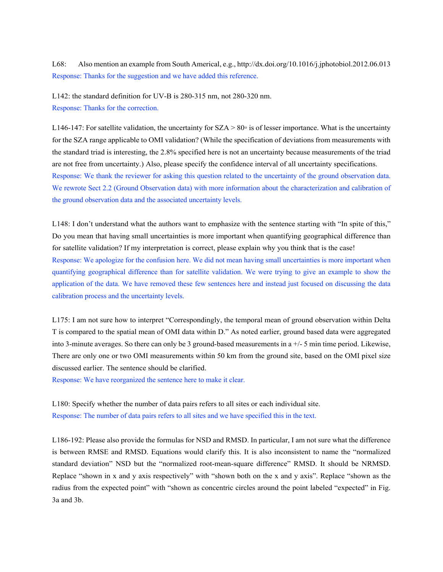L68: Also mention an example from South Americal, e.g., http://dx.doi.org/10.1016/j.jphotobiol.2012.06.013 Response: Thanks for the suggestion and we have added this reference.

L142: the standard definition for UV-B is 280-315 nm, not 280-320 nm. Response: Thanks for the correction.

L146-147: For satellite validation, the uncertainty for  $SZA > 80\degree$  is of lesser importance. What is the uncertainty for the SZA range applicable to OMI validation? (While the specification of deviations from measurements with the standard triad is interesting, the 2.8% specified here is not an uncertainty because measurements of the triad are not free from uncertainty.) Also, please specify the confidence interval of all uncertainty specifications. Response: We thank the reviewer for asking this question related to the uncertainty of the ground observation data. We rewrote Sect 2.2 (Ground Observation data) with more information about the characterization and calibration of the ground observation data and the associated uncertainty levels.

L148: I don't understand what the authors want to emphasize with the sentence starting with "In spite of this," Do you mean that having small uncertainties is more important when quantifying geographical difference than for satellite validation? If my interpretation is correct, please explain why you think that is the case! Response: We apologize for the confusion here. We did not mean having small uncertainties is more important when quantifying geographical difference than for satellite validation. We were trying to give an example to show the application of the data. We have removed these few sentences here and instead just focused on discussing the data calibration process and the uncertainty levels.

L175: I am not sure how to interpret "Correspondingly, the temporal mean of ground observation within Delta T is compared to the spatial mean of OMI data within D." As noted earlier, ground based data were aggregated into 3-minute averages. So there can only be 3 ground-based measurements in a +/- 5 min time period. Likewise, There are only one or two OMI measurements within 50 km from the ground site, based on the OMI pixel size discussed earlier. The sentence should be clarified.

Response: We have reorganized the sentence here to make it clear.

L180: Specify whether the number of data pairs refers to all sites or each individual site. Response: The number of data pairs refers to all sites and we have specified this in the text.

L186-192: Please also provide the formulas for NSD and RMSD. In particular, I am not sure what the difference is between RMSE and RMSD. Equations would clarify this. It is also inconsistent to name the "normalized standard deviation" NSD but the "normalized root-mean-square difference" RMSD. It should be NRMSD. Replace "shown in x and y axis respectively" with "shown both on the x and y axis". Replace "shown as the radius from the expected point" with "shown as concentric circles around the point labeled "expected" in Fig. 3a and 3b.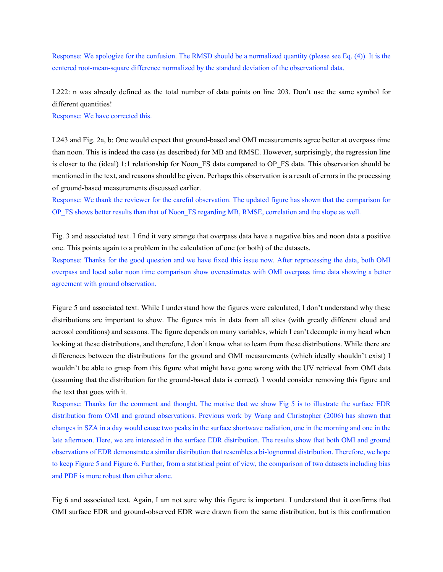Response: We apologize for the confusion. The RMSD should be a normalized quantity (please see Eq. (4)). It is the centered root-mean-square difference normalized by the standard deviation of the observational data.

L222: n was already defined as the total number of data points on line 203. Don't use the same symbol for different quantities!

Response: We have corrected this.

L243 and Fig. 2a, b: One would expect that ground-based and OMI measurements agree better at overpass time than noon. This is indeed the case (as described) for MB and RMSE. However, surprisingly, the regression line is closer to the (ideal) 1:1 relationship for Noon–FS data compared to OP\_FS data. This observation should be mentioned in the text, and reasons should be given. Perhaps this observation is a result of errors in the processing of ground-based measurements discussed earlier.

Response: We thank the reviewer for the careful observation. The updated figure has shown that the comparison for OP\_FS shows better results than that of Noon\_FS regarding MB, RMSE, correlation and the slope as well.

Fig. 3 and associated text. I find it very strange that overpass data have a negative bias and noon data a positive one. This points again to a problem in the calculation of one (or both) of the datasets.

Response: Thanks for the good question and we have fixed this issue now. After reprocessing the data, both OMI overpass and local solar noon time comparison show overestimates with OMI overpass time data showing a better agreement with ground observation.

Figure 5 and associated text. While I understand how the figures were calculated, I don't understand why these distributions are important to show. The figures mix in data from all sites (with greatly different cloud and aerosol conditions) and seasons. The figure depends on many variables, which I can't decouple in my head when looking at these distributions, and therefore, I don't know what to learn from these distributions. While there are differences between the distributions for the ground and OMI measurements (which ideally shouldn't exist) I wouldn't be able to grasp from this figure what might have gone wrong with the UV retrieval from OMI data (assuming that the distribution for the ground-based data is correct). I would consider removing this figure and the text that goes with it.

Response: Thanks for the comment and thought. The motive that we show Fig 5 is to illustrate the surface EDR distribution from OMI and ground observations. Previous work by Wang and Christopher (2006) has shown that changes in SZA in a day would cause two peaks in the surface shortwave radiation, one in the morning and one in the late afternoon. Here, we are interested in the surface EDR distribution. The results show that both OMI and ground observations of EDR demonstrate a similar distribution that resembles a bi-lognormal distribution. Therefore, we hope to keep Figure 5 and Figure 6. Further, from a statistical point of view, the comparison of two datasets including bias and PDF is more robust than either alone.

Fig 6 and associated text. Again, I am not sure why this figure is important. I understand that it confirms that OMI surface EDR and ground-observed EDR were drawn from the same distribution, but is this confirmation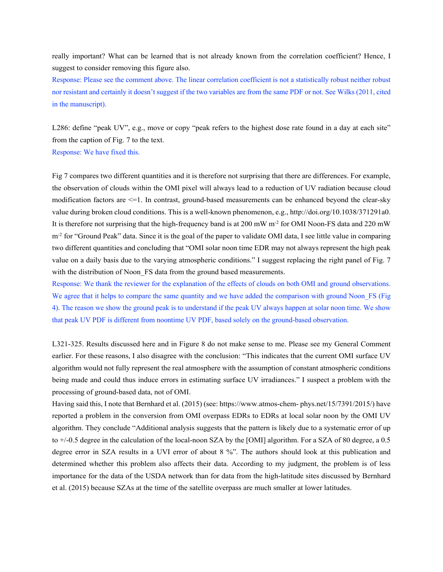really important? What can be learned that is not already known from the correlation coefficient? Hence, I suggest to consider removing this figure also.

Response: Please see the comment above. The linear correlation coefficient is not a statistically robust neither robust nor resistant and certainly it doesn't suggest if the two variables are from the same PDF or not. See Wilks (2011, cited in the manuscript).

L286: define "peak UV", e.g., move or copy "peak refers to the highest dose rate found in a day at each site" from the caption of Fig. 7 to the text. Response: We have fixed this.

Fig 7 compares two different quantities and it is therefore not surprising that there are differences. For example, the observation of clouds within the OMI pixel will always lead to a reduction of UV radiation because cloud modification factors are  $\leq$  1. In contrast, ground-based measurements can be enhanced beyond the clear-sky value during broken cloud conditions. This is a well-known phenomenon, e.g., http://doi.org/10.1038/371291a0. It is therefore not surprising that the high-frequency band is at  $200 \text{ mW} \text{ m}^2$  for OMI Noon-FS data and  $220 \text{ mW}$  $m<sup>2</sup>$  for "Ground Peak" data. Since it is the goal of the paper to validate OMI data, I see little value in comparing two different quantities and concluding that "OMI solar noon time EDR may not always represent the high peak value on a daily basis due to the varying atmospheric conditions." I suggest replacing the right panel of Fig. 7 with the distribution of Noon FS data from the ground based measurements.

Response: We thank the reviewer for the explanation of the effects of clouds on both OMI and ground observations. We agree that it helps to compare the same quantity and we have added the comparison with ground Noon\_FS (Fig 4). The reason we show the ground peak is to understand if the peak UV always happen at solar noon time. We show that peak UV PDF is different from noontime UV PDF, based solely on the ground-based observation.

L321-325. Results discussed here and in Figure 8 do not make sense to me. Please see my General Comment earlier. For these reasons, I also disagree with the conclusion: "This indicates that the current OMI surface UV algorithm would not fully represent the real atmosphere with the assumption of constant atmospheric conditions being made and could thus induce errors in estimating surface UV irradiances." I suspect a problem with the processing of ground-based data, not of OMI.

Having said this, I note that Bernhard et al. (2015) (see: https://www.atmos-chem- phys.net/15/7391/2015/) have reported a problem in the conversion from OMI overpass EDRs to EDRs at local solar noon by the OMI UV algorithm. They conclude "Additional analysis suggests that the pattern is likely due to a systematic error of up to +/-0.5 degree in the calculation of the local-noon SZA by the [OMI] algorithm. For a SZA of 80 degree, a 0.5 degree error in SZA results in a UVI error of about 8 %". The authors should look at this publication and determined whether this problem also affects their data. According to my judgment, the problem is of less importance for the data of the USDA network than for data from the high-latitude sites discussed by Bernhard et al. (2015) because SZAs at the time of the satellite overpass are much smaller at lower latitudes.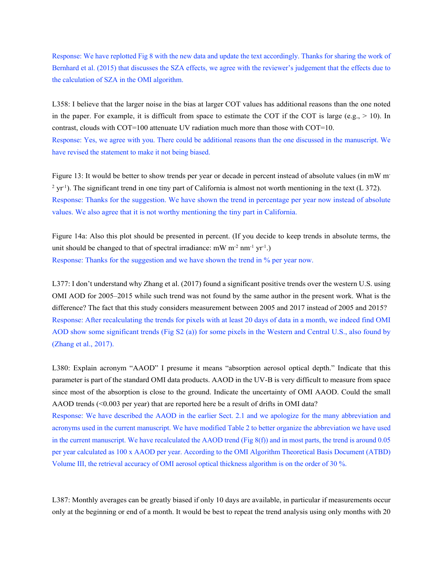Response: We have replotted Fig 8 with the new data and update the text accordingly. Thanks for sharing the work of Bernhard et al. (2015) that discusses the SZA effects, we agree with the reviewer's judgement that the effects due to the calculation of SZA in the OMI algorithm.

L358: I believe that the larger noise in the bias at larger COT values has additional reasons than the one noted in the paper. For example, it is difficult from space to estimate the COT if the COT is large (e.g.,  $> 10$ ). In contrast, clouds with COT=100 attenuate UV radiation much more than those with COT=10. Response: Yes, we agree with you. There could be additional reasons than the one discussed in the manuscript. We have revised the statement to make it not being biased.

Figure 13: It would be better to show trends per year or decade in percent instead of absolute values (in mW m<sup>-</sup>  $2 \text{ yr}^{-1}$ ). The significant trend in one tiny part of California is almost not worth mentioning in the text (L 372). Response: Thanks for the suggestion. We have shown the trend in percentage per year now instead of absolute values. We also agree that it is not worthy mentioning the tiny part in California.

Figure 14a: Also this plot should be presented in percent. (If you decide to keep trends in absolute terms, the unit should be changed to that of spectral irradiance:  $mW m^{-2} n m^{-1} yr^{-1}$ . Response: Thanks for the suggestion and we have shown the trend in % per year now.

L377: I don't understand why Zhang et al. (2017) found a significant positive trends over the western U.S. using OMI AOD for 2005–2015 while such trend was not found by the same author in the present work. What is the difference? The fact that this study considers measurement between 2005 and 2017 instead of 2005 and 2015? Response: After recalculating the trends for pixels with at least 20 days of data in a month, we indeed find OMI AOD show some significant trends (Fig S2 (a)) for some pixels in the Western and Central U.S., also found by (Zhang et al., 2017).

L380: Explain acronym "AAOD" I presume it means "absorption aerosol optical depth." Indicate that this parameter is part of the standard OMI data products. AAOD in the UV-B is very difficult to measure from space since most of the absorption is close to the ground. Indicate the uncertainty of OMI AAOD. Could the small AAOD trends  $( $0.003$  per year) that are reported here be a result of drifts in OMI data?$ 

Response: We have described the AAOD in the earlier Sect. 2.1 and we apologize for the many abbreviation and acronyms used in the current manuscript. We have modified Table 2 to better organize the abbreviation we have used in the current manuscript. We have recalculated the AAOD trend (Fig 8(f)) and in most parts, the trend is around 0.05 per year calculated as 100 x AAOD per year. According to the OMI Algorithm Theoretical Basis Document (ATBD) Volume III, the retrieval accuracy of OMI aerosol optical thickness algorithm is on the order of 30 %.

L387: Monthly averages can be greatly biased if only 10 days are available, in particular if measurements occur only at the beginning or end of a month. It would be best to repeat the trend analysis using only months with 20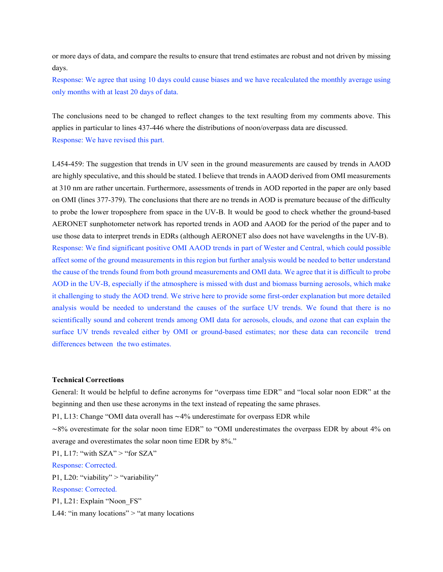or more days of data, and compare the results to ensure that trend estimates are robust and not driven by missing days.

Response: We agree that using 10 days could cause biases and we have recalculated the monthly average using only months with at least 20 days of data.

The conclusions need to be changed to reflect changes to the text resulting from my comments above. This applies in particular to lines 437-446 where the distributions of noon/overpass data are discussed. Response: We have revised this part.

L454-459: The suggestion that trends in UV seen in the ground measurements are caused by trends in AAOD are highly speculative, and this should be stated. I believe that trends in AAOD derived from OMI measurements at 310 nm are rather uncertain. Furthermore, assessments of trends in AOD reported in the paper are only based on OMI (lines 377-379). The conclusions that there are no trends in AOD is premature because of the difficulty to probe the lower troposphere from space in the UV-B. It would be good to check whether the ground-based AERONET sunphotometer network has reported trends in AOD and AAOD for the period of the paper and to use those data to interpret trends in EDRs (although AERONET also does not have wavelengths in the UV-B). Response: We find significant positive OMI AAOD trends in part of Wester and Central, which could possible affect some of the ground measurements in this region but further analysis would be needed to better understand the cause of the trends found from both ground measurements and OMI data. We agree that it is difficult to probe AOD in the UV-B, especially if the atmosphere is missed with dust and biomass burning aerosols, which make it challenging to study the AOD trend. We strive here to provide some first-order explanation but more detailed analysis would be needed to understand the causes of the surface UV trends. We found that there is no scientifically sound and coherent trends among OMI data for aerosols, clouds, and ozone that can explain the surface UV trends revealed either by OMI or ground-based estimates; nor these data can reconcile trend differences between the two estimates.

#### **Technical Corrections**

General: It would be helpful to define acronyms for "overpass time EDR" and "local solar noon EDR" at the beginning and then use these acronyms in the text instead of repeating the same phrases.

P1, L13: Change "OMI data overall has ~4% underestimate for overpass EDR while

∼8% overestimate for the solar noon time EDR" to "OMI underestimates the overpass EDR by about 4% on average and overestimates the solar noon time EDR by 8%."

P1, L17: "with  $SZA" >$  "for  $SZA"$ 

Response: Corrected.

P1, L20: "viability" > "variability"

Response: Corrected.

P1, L21: Explain "Noon\_FS"

L44: "in many locations"  $>$  "at many locations"